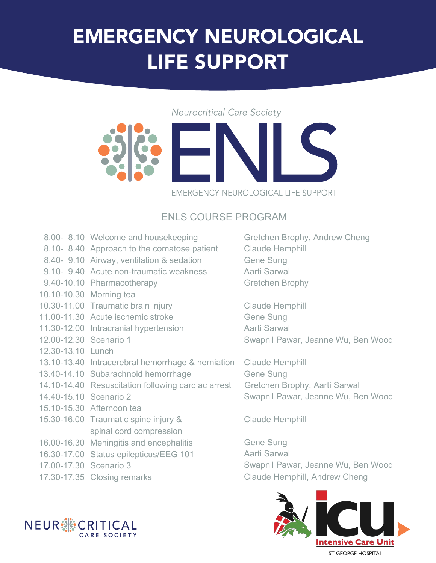## EMERGENCY NEUROLOGICAL LIFE SUPPORT

#### **Neurocritical Care Society**



#### EMERGENCY NEUROLOGICAL LIFE SUPPORT

### ENLS COURSE PROGRAM

- 8.00- 8.10 Welcome and housekeeping
- 8.10- 8.40 Approach to the comatose patient
- 8.40- 9.10 Airway, ventilation & sedation
- 9.10- 9.40 Acute non-traumatic weakness
- 9.40-10.10 Pharmacotherapy
- 10.10-10.30 Morning tea
- 10.30-11.00 Traumatic brain injury
- 11.00-11.30 Acute ischemic stroke
- 11.30-12.00 Intracranial hypertension
- 12.00-12.30 Scenario 1
- 12.30-13.10 Lunch
- 13.10-13.40 Intracerebral hemorrhage & herniation
- 13.40-14.10 Subarachnoid hemorrhage Gene Sung
- 14.10-14.40 Resuscitation following cardiac arrest Gretchen Brophy, Aarti Sarwal
- 14.40-15.10 Scenario 2
- 15.10-15.30 Afternoon tea
- 15.30-16.00 Traumatic spine injury & spinal cord compression
- 16.00-16.30 Meningitis and encephalitis
- 16.30-17.00 Status epilepticus/EEG 101
- 17.00-17.30 Scenario 3
- 



Gretchen Brophy, Andrew Cheng Claude Hemphill Gene Sung Aarti Sarwal Gretchen Brophy

Claude Hemphill Gene Sung Aarti Sarwal Swapnil Pawar, Jeanne Wu, Ben Wood

Claude Hemphill Swapnil Pawar, Jeanne Wu, Ben Wood

Claude Hemphill

Gene Sung Aarti Sarwal Swapnil Pawar, Jeanne Wu, Ben Wood 17.30-17.35 Closing remarks Claude Hemphill, Andrew Cheng